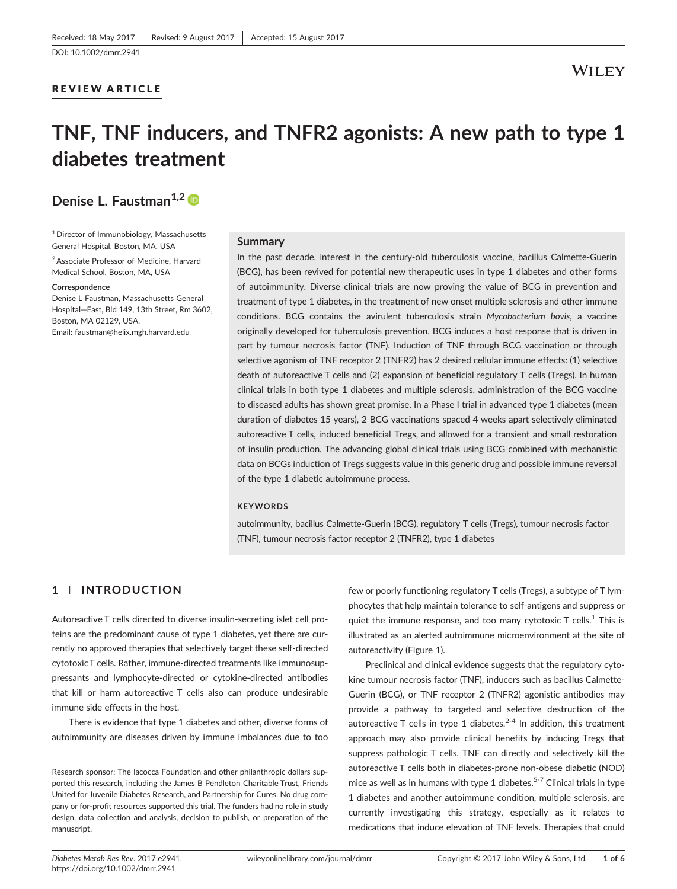### REVIEW ARTICLE

# TNF, TNF inducers, and TNFR2 agonists: A new path to type 1 diabetes treatment

Denise L. Faustman<sup>1,2</sup>

1Director of Immunobiology, Massachusetts General Hospital, Boston, MA, USA

2Associate Professor of Medicine, Harvard Medical School, Boston, MA, USA

#### **Correspondence**

Denise L Faustman, Massachusetts General Hospital—East, Bld 149, 13th Street, Rm 3602, Boston, MA 02129, USA. Email: [faustman@helix.mgh.harvard.edu](mailto:faustman@helix.mgh.harvard.edu)

#### Summary

In the past decade, interest in the century-old tuberculosis vaccine, bacillus Calmette-Guerin (BCG), has been revived for potential new therapeutic uses in type 1 diabetes and other forms of autoimmunity. Diverse clinical trials are now proving the value of BCG in prevention and treatment of type 1 diabetes, in the treatment of new onset multiple sclerosis and other immune conditions. BCG contains the avirulent tuberculosis strain Mycobacterium bovis, a vaccine originally developed for tuberculosis prevention. BCG induces a host response that is driven in part by tumour necrosis factor (TNF). Induction of TNF through BCG vaccination or through selective agonism of TNF receptor 2 (TNFR2) has 2 desired cellular immune effects: (1) selective death of autoreactive T cells and (2) expansion of beneficial regulatory T cells (Tregs). In human clinical trials in both type 1 diabetes and multiple sclerosis, administration of the BCG vaccine to diseased adults has shown great promise. In a Phase I trial in advanced type 1 diabetes (mean duration of diabetes 15 years), 2 BCG vaccinations spaced 4 weeks apart selectively eliminated autoreactive T cells, induced beneficial Tregs, and allowed for a transient and small restoration of insulin production. The advancing global clinical trials using BCG combined with mechanistic data on BCGs induction of Tregs suggests value in this generic drug and possible immune reversal of the type 1 diabetic autoimmune process.

#### **KEYWORDS**

autoimmunity, bacillus Calmette‐Guerin (BCG), regulatory T cells (Tregs), tumour necrosis factor (TNF), tumour necrosis factor receptor 2 (TNFR2), type 1 diabetes

## 1 | INTRODUCTION

Autoreactive T cells directed to diverse insulin‐secreting islet cell proteins are the predominant cause of type 1 diabetes, yet there are currently no approved therapies that selectively target these self‐directed cytotoxic T cells. Rather, immune‐directed treatments like immunosuppressants and lymphocyte‐directed or cytokine‐directed antibodies that kill or harm autoreactive T cells also can produce undesirable immune side effects in the host.

There is evidence that type 1 diabetes and other, diverse forms of autoimmunity are diseases driven by immune imbalances due to too

few or poorly functioning regulatory T cells (Tregs), a subtype of T lymphocytes that help maintain tolerance to self‐antigens and suppress or quiet the immune response, and too many cytotoxic  $T$  cells.<sup>1</sup> This is illustrated as an alerted autoimmune microenvironment at the site of autoreactivity (Figure 1).

Preclinical and clinical evidence suggests that the regulatory cytokine tumour necrosis factor (TNF), inducers such as bacillus Calmette‐ Guerin (BCG), or TNF receptor 2 (TNFR2) agonistic antibodies may provide a pathway to targeted and selective destruction of the autoreactive T cells in type 1 diabetes. $2-4$  In addition, this treatment approach may also provide clinical benefits by inducing Tregs that suppress pathologic T cells. TNF can directly and selectively kill the autoreactive T cells both in diabetes‐prone non‐obese diabetic (NOD) mice as well as in humans with type 1 diabetes.<sup>5-7</sup> Clinical trials in type 1 diabetes and another autoimmune condition, multiple sclerosis, are currently investigating this strategy, especially as it relates to medications that induce elevation of TNF levels. Therapies that could

Research sponsor: The Iacocca Foundation and other philanthropic dollars supported this research, including the James B Pendleton Charitable Trust, Friends United for Juvenile Diabetes Research, and Partnership for Cures. No drug company or for‐profit resources supported this trial. The funders had no role in study design, data collection and analysis, decision to publish, or preparation of the manuscript.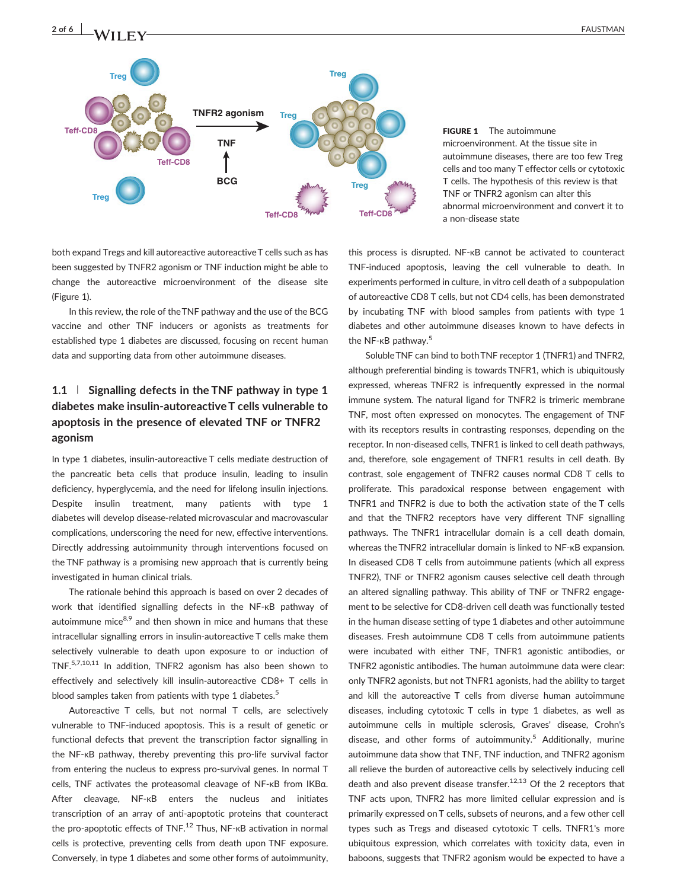

#### FIGURE 1 The autoimmune microenvironment. At the tissue site in autoimmune diseases, there are too few Treg cells and too many T effector cells or cytotoxic T cells. The hypothesis of this review is that TNF or TNFR2 agonism can alter this abnormal microenvironment and convert it to a non‐disease state

both expand Tregs and kill autoreactive autoreactiveT cells such as has been suggested by TNFR2 agonism or TNF induction might be able to change the autoreactive microenvironment of the disease site (Figure 1).

In this review, the role of theTNF pathway and the use of the BCG vaccine and other TNF inducers or agonists as treatments for established type 1 diabetes are discussed, focusing on recent human data and supporting data from other autoimmune diseases.

# 1.1 | Signalling defects in the TNF pathway in type 1 diabetes make insulin‐autoreactive T cells vulnerable to apoptosis in the presence of elevated TNF or TNFR2 agonism

In type 1 diabetes, insulin‐autoreactive T cells mediate destruction of the pancreatic beta cells that produce insulin, leading to insulin deficiency, hyperglycemia, and the need for lifelong insulin injections. Despite insulin treatment, many patients with type 1 diabetes will develop disease‐related microvascular and macrovascular complications, underscoring the need for new, effective interventions. Directly addressing autoimmunity through interventions focused on the TNF pathway is a promising new approach that is currently being investigated in human clinical trials.

The rationale behind this approach is based on over 2 decades of work that identified signalling defects in the NF‐κB pathway of autoimmune mice $8,9$  and then shown in mice and humans that these intracellular signalling errors in insulin‐autoreactive T cells make them selectively vulnerable to death upon exposure to or induction of TNF.5,7,10,11 In addition, TNFR2 agonism has also been shown to effectively and selectively kill insulin‐autoreactive CD8+ T cells in blood samples taken from patients with type 1 diabetes.<sup>5</sup>

Autoreactive T cells, but not normal T cells, are selectively vulnerable to TNF‐induced apoptosis. This is a result of genetic or functional defects that prevent the transcription factor signalling in the NF‐κB pathway, thereby preventing this pro‐life survival factor from entering the nucleus to express pro-survival genes. In normal T cells, TNF activates the proteasomal cleavage of NF‐κB from IKBα. After cleavage, NF‐κB enters the nucleus and initiates transcription of an array of anti‐apoptotic proteins that counteract the pro-apoptotic effects of  $TNF<sup>12</sup>$  Thus, NF- $k$ B activation in normal cells is protective, preventing cells from death upon TNF exposure. Conversely, in type 1 diabetes and some other forms of autoimmunity,

this process is disrupted. NF‐κB cannot be activated to counteract TNF‐induced apoptosis, leaving the cell vulnerable to death. In experiments performed in culture, in vitro cell death of a subpopulation of autoreactive CD8 T cells, but not CD4 cells, has been demonstrated by incubating TNF with blood samples from patients with type 1 diabetes and other autoimmune diseases known to have defects in the NF-κB pathway.<sup>5</sup>

Soluble TNF can bind to both TNF receptor 1 (TNFR1) and TNFR2, although preferential binding is towards TNFR1, which is ubiquitously expressed, whereas TNFR2 is infrequently expressed in the normal immune system. The natural ligand for TNFR2 is trimeric membrane TNF, most often expressed on monocytes. The engagement of TNF with its receptors results in contrasting responses, depending on the receptor. In non‐diseased cells, TNFR1 is linked to cell death pathways, and, therefore, sole engagement of TNFR1 results in cell death. By contrast, sole engagement of TNFR2 causes normal CD8 T cells to proliferate. This paradoxical response between engagement with TNFR1 and TNFR2 is due to both the activation state of the T cells and that the TNFR2 receptors have very different TNF signalling pathways. The TNFR1 intracellular domain is a cell death domain, whereas the TNFR2 intracellular domain is linked to NF‐κB expansion. In diseased CD8 T cells from autoimmune patients (which all express TNFR2), TNF or TNFR2 agonism causes selective cell death through an altered signalling pathway. This ability of TNF or TNFR2 engagement to be selective for CD8‐driven cell death was functionally tested in the human disease setting of type 1 diabetes and other autoimmune diseases. Fresh autoimmune CD8 T cells from autoimmune patients were incubated with either TNF, TNFR1 agonistic antibodies, or TNFR2 agonistic antibodies. The human autoimmune data were clear: only TNFR2 agonists, but not TNFR1 agonists, had the ability to target and kill the autoreactive T cells from diverse human autoimmune diseases, including cytotoxic T cells in type 1 diabetes, as well as autoimmune cells in multiple sclerosis, Graves' disease, Crohn's disease, and other forms of autoimmunity.<sup>5</sup> Additionally, murine autoimmune data show that TNF, TNF induction, and TNFR2 agonism all relieve the burden of autoreactive cells by selectively inducing cell death and also prevent disease transfer.<sup>12,13</sup> Of the 2 receptors that TNF acts upon, TNFR2 has more limited cellular expression and is primarily expressed on T cells, subsets of neurons, and a few other cell types such as Tregs and diseased cytotoxic T cells. TNFR1's more ubiquitous expression, which correlates with toxicity data, even in baboons, suggests that TNFR2 agonism would be expected to have a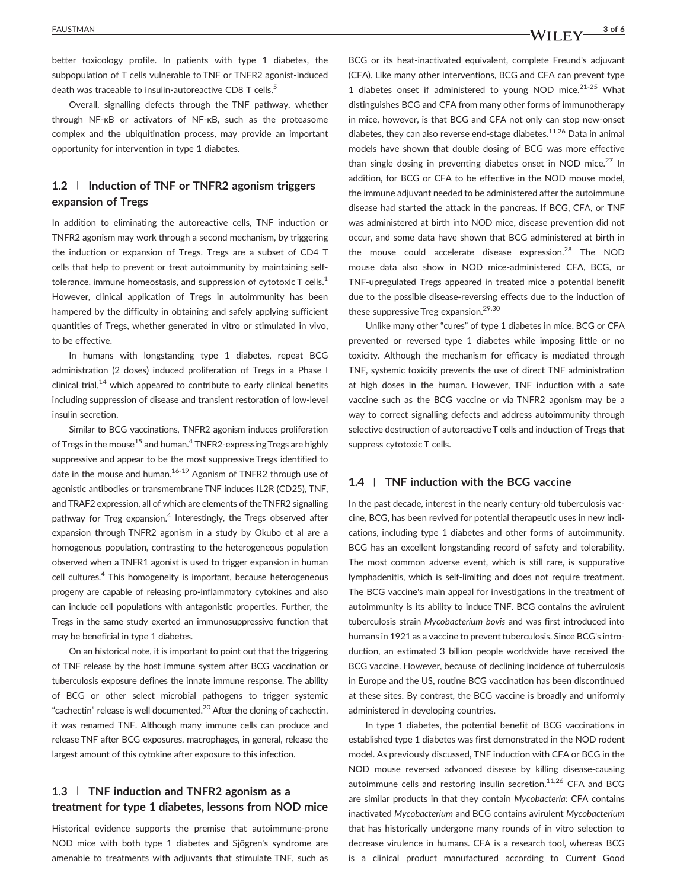better toxicology profile. In patients with type 1 diabetes, the subpopulation of T cells vulnerable to TNF or TNFR2 agonist-induced death was traceable to insulin-autoreactive CD8 T cells.<sup>5</sup>

Overall, signalling defects through the TNF pathway, whether through NF‐κB or activators of NF‐κB, such as the proteasome complex and the ubiquitination process, may provide an important opportunity for intervention in type 1 diabetes.

# 1.2 | Induction of TNF or TNFR2 agonism triggers expansion of Tregs

In addition to eliminating the autoreactive cells, TNF induction or TNFR2 agonism may work through a second mechanism, by triggering the induction or expansion of Tregs. Tregs are a subset of CD4 T cells that help to prevent or treat autoimmunity by maintaining self‐ tolerance, immune homeostasis, and suppression of cytotoxic  $T$  cells.<sup>1</sup> However, clinical application of Tregs in autoimmunity has been hampered by the difficulty in obtaining and safely applying sufficient quantities of Tregs, whether generated in vitro or stimulated in vivo, to be effective.

In humans with longstanding type 1 diabetes, repeat BCG administration (2 doses) induced proliferation of Tregs in a Phase I clinical trial, $14$  which appeared to contribute to early clinical benefits including suppression of disease and transient restoration of low‐level insulin secretion.

Similar to BCG vaccinations, TNFR2 agonism induces proliferation of Tregs in the mouse<sup>15</sup> and human.<sup>4</sup> TNFR2-expressing Tregs are highly suppressive and appear to be the most suppressive Tregs identified to date in the mouse and human.<sup>16-19</sup> Agonism of TNFR2 through use of agonistic antibodies or transmembrane TNF induces IL2R (CD25), TNF, and TRAF2 expression, all of which are elements of theTNFR2 signalling pathway for Treg expansion.<sup>4</sup> Interestingly, the Tregs observed after expansion through TNFR2 agonism in a study by Okubo et al are a homogenous population, contrasting to the heterogeneous population observed when a TNFR1 agonist is used to trigger expansion in human cell cultures.<sup>4</sup> This homogeneity is important, because heterogeneous progeny are capable of releasing pro‐inflammatory cytokines and also can include cell populations with antagonistic properties. Further, the Tregs in the same study exerted an immunosuppressive function that may be beneficial in type 1 diabetes.

On an historical note, it is important to point out that the triggering of TNF release by the host immune system after BCG vaccination or tuberculosis exposure defines the innate immune response. The ability of BCG or other select microbial pathogens to trigger systemic "cachectin" release is well documented.<sup>20</sup> After the cloning of cachectin, it was renamed TNF. Although many immune cells can produce and release TNF after BCG exposures, macrophages, in general, release the largest amount of this cytokine after exposure to this infection.

# 1.3 | TNF induction and TNFR2 agonism as a treatment for type 1 diabetes, lessons from NOD mice

Historical evidence supports the premise that autoimmune‐prone NOD mice with both type 1 diabetes and Sjögren's syndrome are amenable to treatments with adjuvants that stimulate TNF, such as

BCG or its heat-inactivated equivalent, complete Freund's adjuvant (CFA). Like many other interventions, BCG and CFA can prevent type 1 diabetes onset if administered to young NOD mice. $2^{1-25}$  What distinguishes BCG and CFA from many other forms of immunotherapy in mice, however, is that BCG and CFA not only can stop new-onset diabetes, they can also reverse end-stage diabetes.<sup>11,26</sup> Data in animal models have shown that double dosing of BCG was more effective than single dosing in preventing diabetes onset in NOD mice. $27 \text{ In}$ addition, for BCG or CFA to be effective in the NOD mouse model, the immune adjuvant needed to be administered after the autoimmune disease had started the attack in the pancreas. If BCG, CFA, or TNF was administered at birth into NOD mice, disease prevention did not occur, and some data have shown that BCG administered at birth in the mouse could accelerate disease expression.<sup>28</sup> The NOD mouse data also show in NOD mice‐administered CFA, BCG, or TNF‐upregulated Tregs appeared in treated mice a potential benefit due to the possible disease‐reversing effects due to the induction of these suppressive Treg expansion.<sup>29,30</sup>

Unlike many other "cures" of type 1 diabetes in mice, BCG or CFA prevented or reversed type 1 diabetes while imposing little or no toxicity. Although the mechanism for efficacy is mediated through TNF, systemic toxicity prevents the use of direct TNF administration at high doses in the human. However, TNF induction with a safe vaccine such as the BCG vaccine or via TNFR2 agonism may be a way to correct signalling defects and address autoimmunity through selective destruction of autoreactive T cells and induction of Tregs that suppress cytotoxic T cells.

#### 1.4 | TNF induction with the BCG vaccine

In the past decade, interest in the nearly century-old tuberculosis vaccine, BCG, has been revived for potential therapeutic uses in new indications, including type 1 diabetes and other forms of autoimmunity. BCG has an excellent longstanding record of safety and tolerability. The most common adverse event, which is still rare, is suppurative lymphadenitis, which is self‐limiting and does not require treatment. The BCG vaccine's main appeal for investigations in the treatment of autoimmunity is its ability to induce TNF. BCG contains the avirulent tuberculosis strain Mycobacterium bovis and was first introduced into humans in 1921 as a vaccine to prevent tuberculosis. Since BCG's introduction, an estimated 3 billion people worldwide have received the BCG vaccine. However, because of declining incidence of tuberculosis in Europe and the US, routine BCG vaccination has been discontinued at these sites. By contrast, the BCG vaccine is broadly and uniformly administered in developing countries.

In type 1 diabetes, the potential benefit of BCG vaccinations in established type 1 diabetes was first demonstrated in the NOD rodent model. As previously discussed, TNF induction with CFA or BCG in the NOD mouse reversed advanced disease by killing disease-causing autoimmune cells and restoring insulin secretion. $11,26$  CFA and BCG are similar products in that they contain Mycobacteria: CFA contains inactivated Mycobacterium and BCG contains avirulent Mycobacterium that has historically undergone many rounds of in vitro selection to decrease virulence in humans. CFA is a research tool, whereas BCG is a clinical product manufactured according to Current Good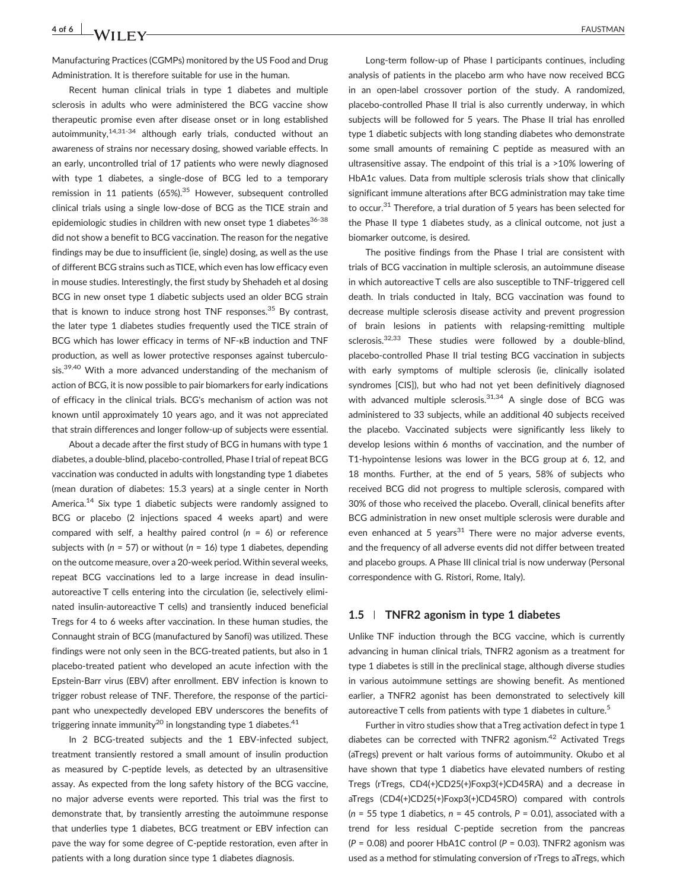$4 \text{ of } 6$  **IMALES**  $\sqrt{111}$  FN/

Manufacturing Practices (CGMPs) monitored by the US Food and Drug Administration. It is therefore suitable for use in the human.

Recent human clinical trials in type 1 diabetes and multiple sclerosis in adults who were administered the BCG vaccine show therapeutic promise even after disease onset or in long established autoimmunity,14,31-34 although early trials, conducted without an awareness of strains nor necessary dosing, showed variable effects. In an early, uncontrolled trial of 17 patients who were newly diagnosed with type 1 diabetes, a single-dose of BCG led to a temporary remission in 11 patients  $(65\%)$ .<sup>35</sup> However, subsequent controlled clinical trials using a single low‐dose of BCG as the TICE strain and epidemiologic studies in children with new onset type 1 diabetes<sup>36-38</sup> did not show a benefit to BCG vaccination. The reason for the negative findings may be due to insufficient (ie, single) dosing, as well as the use of different BCG strains such asTICE, which even has low efficacy even in mouse studies. Interestingly, the first study by Shehadeh et al dosing BCG in new onset type 1 diabetic subjects used an older BCG strain that is known to induce strong host TNF responses.<sup>35</sup> By contrast, the later type 1 diabetes studies frequently used the TICE strain of BCG which has lower efficacy in terms of NF‐κB induction and TNF production, as well as lower protective responses against tuberculosis.<sup>39,40</sup> With a more advanced understanding of the mechanism of action of BCG, it is now possible to pair biomarkers for early indications of efficacy in the clinical trials. BCG's mechanism of action was not known until approximately 10 years ago, and it was not appreciated that strain differences and longer follow‐up of subjects were essential.

About a decade after the first study of BCG in humans with type 1 diabetes, a double‐blind, placebo‐controlled, Phase I trial of repeat BCG vaccination was conducted in adults with longstanding type 1 diabetes (mean duration of diabetes: 15.3 years) at a single center in North America.<sup>14</sup> Six type 1 diabetic subjects were randomly assigned to BCG or placebo (2 injections spaced 4 weeks apart) and were compared with self, a healthy paired control  $(n = 6)$  or reference subjects with ( $n = 57$ ) or without ( $n = 16$ ) type 1 diabetes, depending on the outcome measure, over a 20‐week period. Within several weeks, repeat BCG vaccinations led to a large increase in dead insulin‐ autoreactive T cells entering into the circulation (ie, selectively eliminated insulin‐autoreactive T cells) and transiently induced beneficial Tregs for 4 to 6 weeks after vaccination. In these human studies, the Connaught strain of BCG (manufactured by Sanofi) was utilized. These findings were not only seen in the BCG-treated patients, but also in 1 placebo‐treated patient who developed an acute infection with the Epstein‐Barr virus (EBV) after enrollment. EBV infection is known to trigger robust release of TNF. Therefore, the response of the participant who unexpectedly developed EBV underscores the benefits of triggering innate immunity<sup>20</sup> in longstanding type 1 diabetes.<sup>41</sup>

In 2 BCG‐treated subjects and the 1 EBV‐infected subject, treatment transiently restored a small amount of insulin production as measured by C‐peptide levels, as detected by an ultrasensitive assay. As expected from the long safety history of the BCG vaccine, no major adverse events were reported. This trial was the first to demonstrate that, by transiently arresting the autoimmune response that underlies type 1 diabetes, BCG treatment or EBV infection can pave the way for some degree of C‐peptide restoration, even after in patients with a long duration since type 1 diabetes diagnosis.

Long‐term follow‐up of Phase I participants continues, including analysis of patients in the placebo arm who have now received BCG in an open‐label crossover portion of the study. A randomized, placebo‐controlled Phase II trial is also currently underway, in which subjects will be followed for 5 years. The Phase II trial has enrolled type 1 diabetic subjects with long standing diabetes who demonstrate some small amounts of remaining C peptide as measured with an ultrasensitive assay. The endpoint of this trial is a >10% lowering of HbA1c values. Data from multiple sclerosis trials show that clinically significant immune alterations after BCG administration may take time to occur.31 Therefore, a trial duration of 5 years has been selected for the Phase II type 1 diabetes study, as a clinical outcome, not just a biomarker outcome, is desired.

The positive findings from the Phase I trial are consistent with trials of BCG vaccination in multiple sclerosis, an autoimmune disease in which autoreactive T cells are also susceptible to TNF‐triggered cell death. In trials conducted in Italy, BCG vaccination was found to decrease multiple sclerosis disease activity and prevent progression of brain lesions in patients with relapsing‐remitting multiple sclerosis.<sup>32,33</sup> These studies were followed by a double-blind, placebo‐controlled Phase II trial testing BCG vaccination in subjects with early symptoms of multiple sclerosis (ie, clinically isolated syndromes [CIS]), but who had not yet been definitively diagnosed with advanced multiple sclerosis. $31,34$  A single dose of BCG was administered to 33 subjects, while an additional 40 subjects received the placebo. Vaccinated subjects were significantly less likely to develop lesions within 6 months of vaccination, and the number of T1-hypointense lesions was lower in the BCG group at 6, 12, and 18 months. Further, at the end of 5 years, 58% of subjects who received BCG did not progress to multiple sclerosis, compared with 30% of those who received the placebo. Overall, clinical benefits after BCG administration in new onset multiple sclerosis were durable and even enhanced at 5 years<sup>31</sup> There were no major adverse events, and the frequency of all adverse events did not differ between treated and placebo groups. A Phase III clinical trial is now underway (Personal correspondence with G. Ristori, Rome, Italy).

#### 1.5 | TNFR2 agonism in type 1 diabetes

Unlike TNF induction through the BCG vaccine, which is currently advancing in human clinical trials, TNFR2 agonism as a treatment for type 1 diabetes is still in the preclinical stage, although diverse studies in various autoimmune settings are showing benefit. As mentioned earlier, a TNFR2 agonist has been demonstrated to selectively kill autoreactive T cells from patients with type 1 diabetes in culture.<sup>5</sup>

Further in vitro studies show that aTreg activation defect in type 1 diabetes can be corrected with TNFR2 agonism.<sup>42</sup> Activated Tregs (aTregs) prevent or halt various forms of autoimmunity. Okubo et al have shown that type 1 diabetics have elevated numbers of resting Tregs (rTregs, CD4(+)CD25(+)Foxp3(+)CD45RA) and a decrease in aTregs (CD4(+)CD25(+)Foxp3(+)CD45RO) compared with controls ( $n = 55$  type 1 diabetics,  $n = 45$  controls,  $P = 0.01$ ), associated with a trend for less residual C‐peptide secretion from the pancreas  $(P = 0.08)$  and poorer HbA1C control  $(P = 0.03)$ . TNFR2 agonism was used as a method for stimulating conversion of rTregs to aTregs, which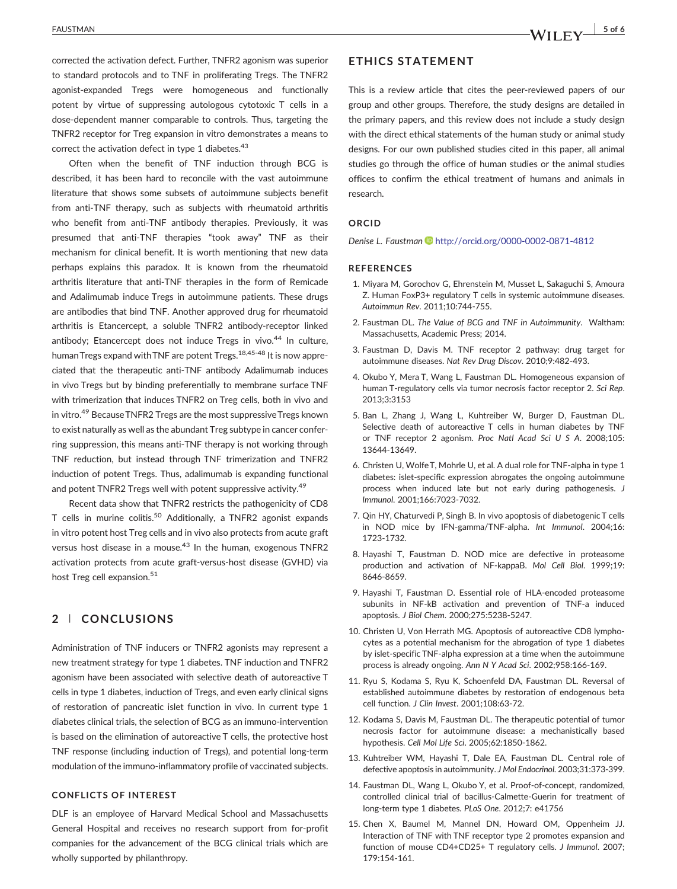corrected the activation defect. Further, TNFR2 agonism was superior to standard protocols and to TNF in proliferating Tregs. The TNFR2 agonist‐expanded Tregs were homogeneous and functionally potent by virtue of suppressing autologous cytotoxic T cells in a dose‐dependent manner comparable to controls. Thus, targeting the TNFR2 receptor for Treg expansion in vitro demonstrates a means to correct the activation defect in type 1 diabetes.<sup>43</sup>

Often when the benefit of TNF induction through BCG is described, it has been hard to reconcile with the vast autoimmune literature that shows some subsets of autoimmune subjects benefit from anti-TNF therapy, such as subjects with rheumatoid arthritis who benefit from anti-TNF antibody therapies. Previously, it was presumed that anti‐TNF therapies "took away" TNF as their mechanism for clinical benefit. It is worth mentioning that new data perhaps explains this paradox. It is known from the rheumatoid arthritis literature that anti‐TNF therapies in the form of Remicade and Adalimumab induce Tregs in autoimmune patients. These drugs are antibodies that bind TNF. Another approved drug for rheumatoid arthritis is Etancercept, a soluble TNFR2 antibody‐receptor linked antibody; Etancercept does not induce Tregs in vivo. $44$  In culture, human Tregs expand with TNF are potent Tregs.<sup>18,45-48</sup> It is now appreciated that the therapeutic anti‐TNF antibody Adalimumab induces in vivo Tregs but by binding preferentially to membrane surface TNF with trimerization that induces TNFR2 on Treg cells, both in vivo and in vitro.<sup>49</sup> Because TNFR2 Tregs are the most suppressive Tregs known to exist naturally as well as the abundant Treg subtype in cancer conferring suppression, this means anti‐TNF therapy is not working through TNF reduction, but instead through TNF trimerization and TNFR2 induction of potent Tregs. Thus, adalimumab is expanding functional and potent TNFR2 Tregs well with potent suppressive activity.<sup>49</sup>

Recent data show that TNFR2 restricts the pathogenicity of CD8 T cells in murine colitis.<sup>50</sup> Additionally, a TNFR2 agonist expands in vitro potent host Treg cells and in vivo also protects from acute graft versus host disease in a mouse.<sup>43</sup> In the human, exogenous TNFR2 activation protects from acute graft‐versus‐host disease (GVHD) via host Treg cell expansion.<sup>51</sup>

## 2 | CONCLUSIONS

Administration of TNF inducers or TNFR2 agonists may represent a new treatment strategy for type 1 diabetes. TNF induction and TNFR2 agonism have been associated with selective death of autoreactive T cells in type 1 diabetes, induction of Tregs, and even early clinical signs of restoration of pancreatic islet function in vivo. In current type 1 diabetes clinical trials, the selection of BCG as an immuno‐intervention is based on the elimination of autoreactive T cells, the protective host TNF response (including induction of Tregs), and potential long‐term modulation of the immuno‐inflammatory profile of vaccinated subjects.

### CONFLICTS OF INTEREST

DLF is an employee of Harvard Medical School and Massachusetts General Hospital and receives no research support from for‐profit companies for the advancement of the BCG clinical trials which are wholly supported by philanthropy.

# ETHICS STATEMENT

This is a review article that cites the peer‐reviewed papers of our group and other groups. Therefore, the study designs are detailed in the primary papers, and this review does not include a study design with the direct ethical statements of the human study or animal study designs. For our own published studies cited in this paper, all animal studies go through the office of human studies or the animal studies offices to confirm the ethical treatment of humans and animals in research.

#### ORCID

Denise L. Faustman **b** <http://orcid.org/0000-0002-0871-4812>

#### REFERENCES

- 1. Miyara M, Gorochov G, Ehrenstein M, Musset L, Sakaguchi S, Amoura Z. Human FoxP3+ regulatory T cells in systemic autoimmune diseases. Autoimmun Rev. 2011;10:744‐755.
- 2. Faustman DL. The Value of BCG and TNF in Autoimmunity. Waltham: Massachusetts, Academic Press; 2014.
- 3. Faustman D, Davis M. TNF receptor 2 pathway: drug target for autoimmune diseases. Nat Rev Drug Discov. 2010;9:482‐493.
- 4. Okubo Y, Mera T, Wang L, Faustman DL. Homogeneous expansion of human T-regulatory cells via tumor necrosis factor receptor 2. Sci Rep. 2013;3:3153
- 5. Ban L, Zhang J, Wang L, Kuhtreiber W, Burger D, Faustman DL. Selective death of autoreactive T cells in human diabetes by TNF or TNF receptor 2 agonism. Proc Natl Acad Sci U S A. 2008;105: 13644‐13649.
- 6. Christen U, Wolfe T, Mohrle U, et al. A dual role for TNF‐alpha in type 1 diabetes: islet‐specific expression abrogates the ongoing autoimmune process when induced late but not early during pathogenesis. J Immunol. 2001;166:7023‐7032.
- 7. Qin HY, Chaturvedi P, Singh B. In vivo apoptosis of diabetogenic T cells in NOD mice by IFN‐gamma/TNF‐alpha. Int Immunol. 2004;16: 1723‐1732.
- 8. Hayashi T, Faustman D. NOD mice are defective in proteasome production and activation of NF-kappaB. Mol Cell Biol. 1999;19: 8646‐8659.
- 9. Hayashi T, Faustman D. Essential role of HLA‐encoded proteasome subunits in NF‐kB activation and prevention of TNF‐a induced apoptosis. J Biol Chem. 2000;275:5238‐5247.
- 10. Christen U, Von Herrath MG. Apoptosis of autoreactive CD8 lymphocytes as a potential mechanism for the abrogation of type 1 diabetes by islet‐specific TNF‐alpha expression at a time when the autoimmune process is already ongoing. Ann N Y Acad Sci. 2002;958:166‐169.
- 11. Ryu S, Kodama S, Ryu K, Schoenfeld DA, Faustman DL. Reversal of established autoimmune diabetes by restoration of endogenous beta cell function. J Clin Invest. 2001;108:63‐72.
- 12. Kodama S, Davis M, Faustman DL. The therapeutic potential of tumor necrosis factor for autoimmune disease: a mechanistically based hypothesis. Cell Mol Life Sci. 2005;62:1850‐1862.
- 13. Kuhtreiber WM, Hayashi T, Dale EA, Faustman DL. Central role of defective apoptosis in autoimmunity. J Mol Endocrinol. 2003;31:373‐399.
- 14. Faustman DL, Wang L, Okubo Y, et al. Proof‐of‐concept, randomized, controlled clinical trial of bacillus‐Calmette‐Guerin for treatment of long‐term type 1 diabetes. PLoS One. 2012;7: e41756
- 15. Chen X, Baumel M, Mannel DN, Howard OM, Oppenheim JJ. Interaction of TNF with TNF receptor type 2 promotes expansion and function of mouse CD4+CD25+ T regulatory cells. J Immunol. 2007; 179:154‐161.